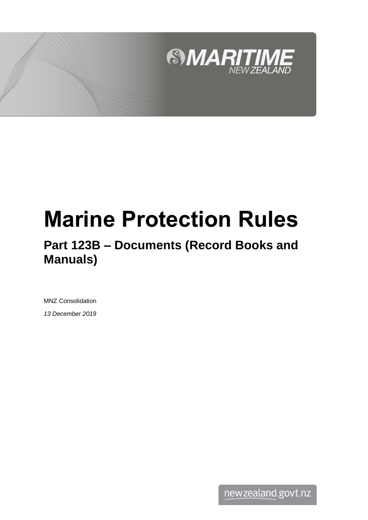

# **Marine Protection Rules**

## **Part 123B – Documents (Record Books and Manuals)**

MNZ Consolidation *13 December 2019*

newzealand.govt.nz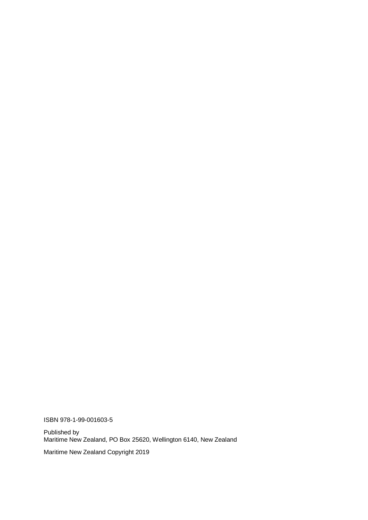ISBN 978-1-99-001603-5

Published by Maritime New Zealand, PO Box 25620, Wellington 6140, New Zealand

Maritime New Zealand Copyright 2019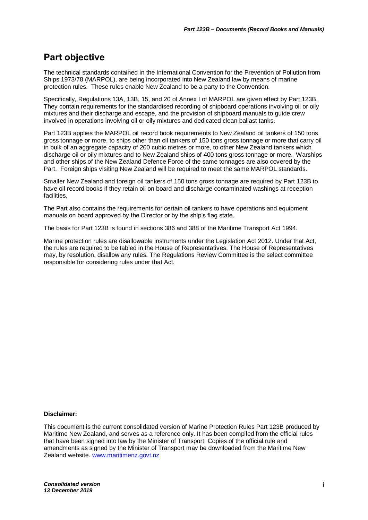### **Part objective**

The technical standards contained in the International Convention for the Prevention of Pollution from Ships 1973/78 (MARPOL), are being incorporated into New Zealand law by means of marine protection rules. These rules enable New Zealand to be a party to the Convention.

Specifically, Regulations 13A, 13B, 15, and 20 of Annex I of MARPOL are given effect by Part 123B. They contain requirements for the standardised recording of shipboard operations involving oil or oily mixtures and their discharge and escape, and the provision of shipboard manuals to guide crew involved in operations involving oil or oily mixtures and dedicated clean ballast tanks.

Part 123B applies the MARPOL oil record book requirements to New Zealand oil tankers of 150 tons gross tonnage or more, to ships other than oil tankers of 150 tons gross tonnage or more that carry oil in bulk of an aggregate capacity of 200 cubic metres or more, to other New Zealand tankers which discharge oil or oily mixtures and to New Zealand ships of 400 tons gross tonnage or more. Warships and other ships of the New Zealand Defence Force of the same tonnages are also covered by the Part. Foreign ships visiting New Zealand will be required to meet the same MARPOL standards.

Smaller New Zealand and foreign oil tankers of 150 tons gross tonnage are required by Part 123B to have oil record books if they retain oil on board and discharge contaminated washings at reception facilities.

The Part also contains the requirements for certain oil tankers to have operations and equipment manuals on board approved by the Director or by the ship's flag state.

The basis for Part 123B is found in sections 386 and 388 of the Maritime Transport Act 1994.

Marine protection rules are disallowable instruments under the Legislation Act 2012. Under that Act, the rules are required to be tabled in the House of Representatives. The House of Representatives may, by resolution, disallow any rules. The Regulations Review Committee is the select committee responsible for considering rules under that Act.

#### **Disclaimer:**

This document is the current consolidated version of Marine Protection Rules Part 123B produced by Maritime New Zealand, and serves as a reference only. It has been compiled from the official rules that have been signed into law by the Minister of Transport. Copies of the official rule and amendments as signed by the Minister of Transport may be downloaded from the Maritime New Zealand website. [www.maritimenz.govt.nz](http://www.maritimenz.govt.nz/)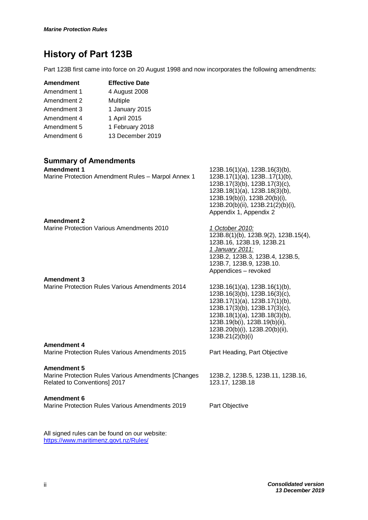## **History of Part 123B**

Part 123B first came into force on 20 August 1998 and now incorporates the following amendments:

| <b>Amendment</b> | <b>Effective Date</b> |
|------------------|-----------------------|
| Amendment 1      | 4 August 2008         |
| Amendment 2      | Multiple              |
| Amendment 3      | 1 January 2015        |
| Amendment 4      | 1 April 2015          |
| Amendment 5      | 1 February 2018       |
| Amendment 6      | 13 December 2019      |

#### **Summary of Amendments**

| <b>Amendment 1</b><br>Marine Protection Amendment Rules - Marpol Annex 1                                  | 123B.16(1)(a), 123B.16(3)(b),<br>123B.17(1)(a), 123B17(1)(b),<br>123B.17(3)(b), 123B.17(3)(c),<br>123B.18(1)(a), 123B.18(3)(b),<br>123B.19(b)(i), 123B.20(b)(i),<br>123B.20(b)(ii), 123B.21(2)(b)(i),<br>Appendix 1, Appendix 2                                |
|-----------------------------------------------------------------------------------------------------------|----------------------------------------------------------------------------------------------------------------------------------------------------------------------------------------------------------------------------------------------------------------|
| <b>Amendment 2</b>                                                                                        |                                                                                                                                                                                                                                                                |
| <b>Marine Protection Various Amendments 2010</b>                                                          | 1 October 2010:<br>123B.8(1)(b), 123B.9(2), 123B.15(4),<br>123B.16, 123B.19, 123B.21<br>1 January 2011:<br>123B.2, 123B.3, 123B.4, 123B.5,<br>123B.7, 123B.9, 123B.10.<br>Appendices - revoked                                                                 |
| <b>Amendment 3</b>                                                                                        |                                                                                                                                                                                                                                                                |
| <b>Marine Protection Rules Various Amendments 2014</b>                                                    | $123B.16(1)(a)$ , $123B.16(1)(b)$ ,<br>123B.16(3)(b), 123B.16(3)(c),<br>123B.17(1)(a), 123B.17(1)(b),<br>123B.17(3)(b), 123B.17(3)(c),<br>123B.18(1)(a), 123B.18(3)(b),<br>123B.19(b(i), 123B.19(b)(ii),<br>123B.20(b)(i), 123B.20(b)(ii),<br>123B.21(2)(b)(i) |
| <b>Amendment 4</b>                                                                                        |                                                                                                                                                                                                                                                                |
| <b>Marine Protection Rules Various Amendments 2015</b>                                                    | Part Heading, Part Objective                                                                                                                                                                                                                                   |
| <b>Amendment 5</b><br>Marine Protection Rules Various Amendments [Changes<br>Related to Conventions] 2017 | 123B.2, 123B.5, 123B.11, 123B.16,<br>123.17, 123B.18                                                                                                                                                                                                           |
| <b>Amendment 6</b>                                                                                        |                                                                                                                                                                                                                                                                |
| Marine Protection Rules Various Amendments 2019                                                           | Part Objective                                                                                                                                                                                                                                                 |
|                                                                                                           |                                                                                                                                                                                                                                                                |

All signed rules can be found on our website: <https://www.maritimenz.govt.nz/Rules/>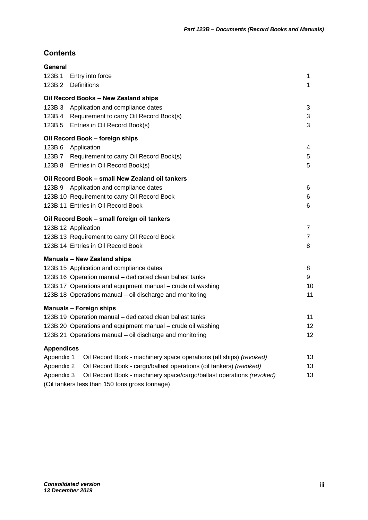#### **Contents**

| General           |                                                                      |             |
|-------------------|----------------------------------------------------------------------|-------------|
| 123B.1            | Entry into force                                                     | 1           |
| 123B.2            | Definitions                                                          | $\mathbf 1$ |
|                   | Oil Record Books - New Zealand ships                                 |             |
|                   | 123B.3 Application and compliance dates                              | 3           |
| 123B.4            | Requirement to carry Oil Record Book(s)                              | 3           |
| 123B.5            | Entries in Oil Record Book(s)                                        | 3           |
|                   | Oil Record Book - foreign ships                                      |             |
| 123B.6            | Application                                                          | 4           |
|                   | 123B.7 Requirement to carry Oil Record Book(s)                       | 5           |
|                   | 123B.8 Entries in Oil Record Book(s)                                 | 5           |
|                   | Oil Record Book - small New Zealand oil tankers                      |             |
|                   | 123B.9 Application and compliance dates                              | 6           |
|                   | 123B.10 Requirement to carry Oil Record Book                         | 6           |
|                   | 123B.11 Entries in Oil Record Book                                   | 6           |
|                   | Oil Record Book - small foreign oil tankers                          |             |
|                   | 123B.12 Application                                                  | 7           |
|                   | 123B.13 Requirement to carry Oil Record Book                         | 7           |
|                   | 123B.14 Entries in Oil Record Book                                   | 8           |
|                   | <b>Manuals - New Zealand ships</b>                                   |             |
|                   | 123B.15 Application and compliance dates                             | 8           |
|                   | 123B.16 Operation manual - dedicated clean ballast tanks             | 9           |
|                   | 123B.17 Operations and equipment manual - crude oil washing          | 10          |
|                   | 123B.18 Operations manual - oil discharge and monitoring             | 11          |
|                   | <b>Manuals - Foreign ships</b>                                       |             |
|                   | 123B.19 Operation manual - dedicated clean ballast tanks             | 11          |
|                   | 123B.20 Operations and equipment manual - crude oil washing          | 12          |
|                   | 123B.21 Operations manual - oil discharge and monitoring             | 12          |
| <b>Appendices</b> |                                                                      |             |
| Appendix 1        | Oil Record Book - machinery space operations (all ships) (revoked)   | 13          |
| Appendix 2        | Oil Record Book - cargo/ballast operations (oil tankers) (revoked)   | 13          |
| Appendix 3        | Oil Record Book - machinery space/cargo/ballast operations (revoked) | 13          |
|                   | (Oil tankers less than 150 tons gross tonnage)                       |             |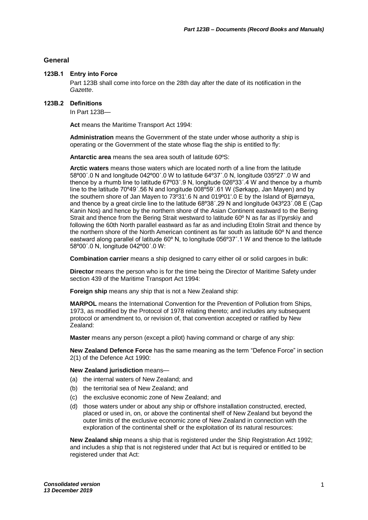#### **General**

#### **123B.1 Entry into Force**

Part 123B shall come into force on the 28th day after the date of its notification in the *Gazette*.

#### **123B.2 Definitions**

In Part 123B—

**Act** means the Maritime Transport Act 1994:

**Administration** means the Government of the state under whose authority a ship is operating or the Government of the state whose flag the ship is entitled to fly:

**Antarctic area** means the sea area south of latitude 60ºS:

**Arctic waters** means those waters which are located north of a line from the latitude 58º00΄.0 N and longitude 042º00΄.0 W to latitude 64º37΄.0 N, longitude 035º27΄.0 W and thence by a rhumb line to latitude 67º03΄.9 N, longitude 026º33΄.4 W and thence by a rhumb line to the latitude 70º49΄.56 N and longitude 008º59΄.61 W (Sørkapp, Jan Mayen) and by the southern shore of Jan Mayen to 73º31'.6 N and 019º01'.0 E by the Island of Bjørnøya, and thence by a great circle line to the latitude 68º38΄.29 N and longitude 043º23΄.08 E (Cap Kanin Nos) and hence by the northern shore of the Asian Continent eastward to the Bering Strait and thence from the Bering Strait westward to latitude 60º N as far as Il'pyrskiy and following the 60th North parallel eastward as far as and including Etolin Strait and thence by the northern shore of the North American continent as far south as latitude 60º N and thence eastward along parallel of latitude 60º N, to longitude 056º37΄.1 W and thence to the latitude 58º00΄.0 N, longitude 042º00΄.0 W:

**Combination carrier** means a ship designed to carry either oil or solid cargoes in bulk:

**Director** means the person who is for the time being the Director of Maritime Safety under section 439 of the Maritime Transport Act 1994:

**Foreign ship** means any ship that is not a New Zealand ship:

**MARPOL** means the International Convention for the Prevention of Pollution from Ships, 1973, as modified by the Protocol of 1978 relating thereto; and includes any subsequent protocol or amendment to, or revision of, that convention accepted or ratified by New Zealand:

**Master** means any person (except a pilot) having command or charge of any ship:

**New Zealand Defence Force** has the same meaning as the term "Defence Force" in section 2(1) of the Defence Act 1990:

#### **New Zealand jurisdiction** means—

- (a) the internal waters of New Zealand; and
- (b) the territorial sea of New Zealand; and
- (c) the exclusive economic zone of New Zealand; and
- (d) those waters under or about any ship or offshore installation constructed, erected, placed or used in, on, or above the continental shelf of New Zealand but beyond the outer limits of the exclusive economic zone of New Zealand in connection with the exploration of the continental shelf or the exploitation of its natural resources:

**New Zealand ship** means a ship that is registered under the Ship Registration Act 1992; and includes a ship that is not registered under that Act but is required or entitled to be registered under that Act: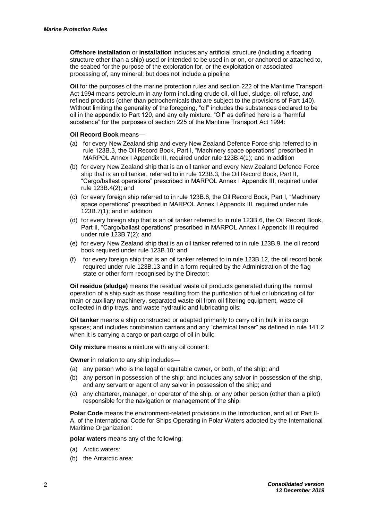**Offshore installation** or **installation** includes any artificial structure (including a floating structure other than a ship) used or intended to be used in or on, or anchored or attached to, the seabed for the purpose of the exploration for, or the exploitation or associated processing of, any mineral; but does not include a pipeline:

**Oil** for the purposes of the marine protection rules and section 222 of the Maritime Transport Act 1994 means petroleum in any form including crude oil, oil fuel, sludge, oil refuse, and refined products (other than petrochemicals that are subject to the provisions of Part 140). Without limiting the generality of the foregoing, "oil" includes the substances declared to be oil in the appendix to Part 120, and any oily mixture. "Oil" as defined here is a "harmful substance" for the purposes of section 225 of the Maritime Transport Act 1994:

#### **Oil Record Book** means—

- (a) for every New Zealand ship and every New Zealand Defence Force ship referred to in rule 123B.3, the Oil Record Book, Part I, "Machinery space operations" prescribed in MARPOL Annex I Appendix III, required under rule 123B.4(1); and in addition
- (b) for every New Zealand ship that is an oil tanker and every New Zealand Defence Force ship that is an oil tanker, referred to in rule 123B.3, the Oil Record Book, Part II, "Cargo/ballast operations" prescribed in MARPOL Annex I Appendix III, required under rule 123B.4(2); and
- (c) for every foreign ship referred to in rule 123B.6, the Oil Record Book, Part I, "Machinery space operations" prescribed in MARPOL Annex I Appendix III, required under rule 123B.7(1); and in addition
- (d) for every foreign ship that is an oil tanker referred to in rule 123B.6, the Oil Record Book, Part II, "Cargo/ballast operations" prescribed in MARPOL Annex I Appendix III required under rule 123B.7(2); and
- (e) for every New Zealand ship that is an oil tanker referred to in rule 123B.9, the oil record book required under rule 123B.10*;* and
- (f) for every foreign ship that is an oil tanker referred to in rule 123B.12, the oil record book required under rule 123B.13 and in a form required by the Administration of the flag state or other form recognised by the Director:

**Oil residue (sludge)** means the residual waste oil products generated during the normal operation of a ship such as those resulting from the purification of fuel or lubricating oil for main or auxiliary machinery, separated waste oil from oil filtering equipment, waste oil collected in drip trays, and waste hydraulic and lubricating oils:

**Oil tanker** means a ship constructed or adapted primarily to carry oil in bulk in its cargo spaces; and includes combination carriers and any "chemical tanker" as defined in rule 141.2 when it is carrying a cargo or part cargo of oil in bulk:

**Oily mixture** means a mixture with any oil content:

**Owner** in relation to any ship includes—

- (a) any person who is the legal or equitable owner, or both, of the ship; and
- (b) any person in possession of the ship; and includes any salvor in possession of the ship, and any servant or agent of any salvor in possession of the ship; and
- (c) any charterer, manager, or operator of the ship, or any other person (other than a pilot) responsible for the navigation or management of the ship:

**Polar Code** means the environment-related provisions in the Introduction, and all of Part II-A, of the International Code for Ships Operating in Polar Waters adopted by the International Maritime Organization:

**polar waters** means any of the following:

- (a) Arctic waters:
- (b) the Antarctic area: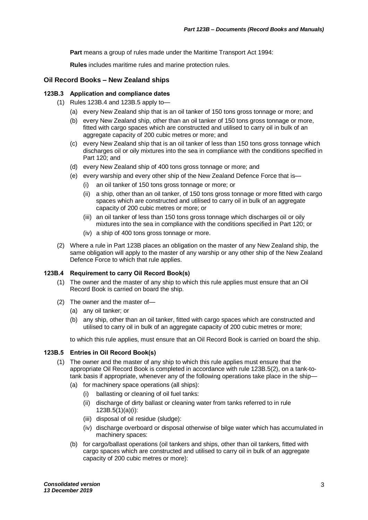Part means a group of rules made under the Maritime Transport Act 1994:

**Rules** includes maritime rules and marine protection rules.

#### **Oil Record Books – New Zealand ships**

#### **123B.3 Application and compliance dates**

- (1) Rules 123B.4 and 123B.5 apply to—
	- (a) every New Zealand ship that is an oil tanker of 150 tons gross tonnage or more; and
	- (b) every New Zealand ship, other than an oil tanker of 150 tons gross tonnage or more, fitted with cargo spaces which are constructed and utilised to carry oil in bulk of an aggregate capacity of 200 cubic metres or more; and
	- (c) every New Zealand ship that is an oil tanker of less than 150 tons gross tonnage which discharges oil or oily mixtures into the sea in compliance with the conditions specified in Part 120; and
	- (d) every New Zealand ship of 400 tons gross tonnage or more; and
	- (e) every warship and every other ship of the New Zealand Defence Force that is—
		- (i) an oil tanker of 150 tons gross tonnage or more; or
		- (ii) a ship, other than an oil tanker, of 150 tons gross tonnage or more fitted with cargo spaces which are constructed and utilised to carry oil in bulk of an aggregate capacity of 200 cubic metres or more; or
		- (iii) an oil tanker of less than 150 tons gross tonnage which discharges oil or oily mixtures into the sea in compliance with the conditions specified in Part 120; or
		- (iv) a ship of 400 tons gross tonnage or more.
- (2) Where a rule in Part 123B places an obligation on the master of any New Zealand ship, the same obligation will apply to the master of any warship or any other ship of the New Zealand Defence Force to which that rule applies.

#### **123B.4 Requirement to carry Oil Record Book(s)**

- (1) The owner and the master of any ship to which this rule applies must ensure that an Oil Record Book is carried on board the ship.
- (2) The owner and the master of—
	- (a) any oil tanker; or
	- (b) any ship, other than an oil tanker, fitted with cargo spaces which are constructed and utilised to carry oil in bulk of an aggregate capacity of 200 cubic metres or more;

to which this rule applies, must ensure that an Oil Record Book is carried on board the ship.

#### **123B.5 Entries in Oil Record Book(s)**

- (1) The owner and the master of any ship to which this rule applies must ensure that the appropriate Oil Record Book is completed in accordance with rule 123B.5(2), on a tank-totank basis if appropriate, whenever any of the following operations take place in the ship—
	- (a) for machinery space operations (all ships):
		- (i) ballasting or cleaning of oil fuel tanks:
		- (ii) discharge of dirty ballast or cleaning water from tanks referred to in rule  $123B.5(1)(a)(i)$ :
		- (iii) disposal of oil residue (sludge):
		- (iv) discharge overboard or disposal otherwise of bilge water which has accumulated in machinery spaces:
	- (b) for cargo/ballast operations (oil tankers and ships, other than oil tankers, fitted with cargo spaces which are constructed and utilised to carry oil in bulk of an aggregate capacity of 200 cubic metres or more):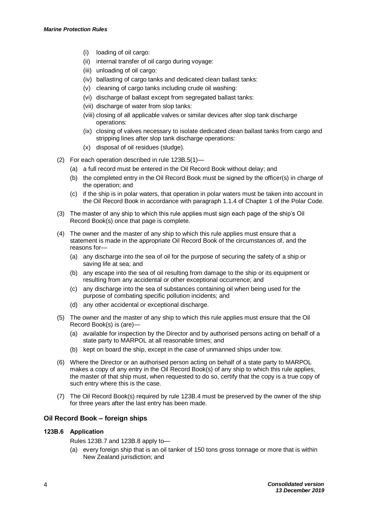- (i) loading of oil cargo:
- (ii) internal transfer of oil cargo during voyage:
- (iii) unloading of oil cargo:
- (iv) ballasting of cargo tanks and dedicated clean ballast tanks:
- (v) cleaning of cargo tanks including crude oil washing:
- (vi) discharge of ballast except from segregated ballast tanks:
- (vii) discharge of water from slop tanks:
- (viii) closing of all applicable valves or similar devices after slop tank discharge operations:
- (ix) closing of valves necessary to isolate dedicated clean ballast tanks from cargo and stripping lines after slop tank discharge operations:
- (x) disposal of oil residues (sludge).
- (2) For each operation described in rule 123B.5(1)—
	- (a) a full record must be entered in the Oil Record Book without delay; and
	- (b) the completed entry in the Oil Record Book must be signed by the officer(s) in charge of the operation; and
	- (c) if the ship is in polar waters, that operation in polar waters must be taken into account in the Oil Record Book in accordance with paragraph 1.1.4 of Chapter 1 of the Polar Code.
- (3) The master of any ship to which this rule applies must sign each page of the ship's Oil Record Book(s) once that page is complete.
- (4) The owner and the master of any ship to which this rule applies must ensure that a statement is made in the appropriate Oil Record Book of the circumstances of, and the reasons for—
	- (a) any discharge into the sea of oil for the purpose of securing the safety of a ship or saving life at sea; and
	- (b) any escape into the sea of oil resulting from damage to the ship or its equipment or resulting from any accidental or other exceptional occurrence; and
	- (c) any discharge into the sea of substances containing oil when being used for the purpose of combating specific pollution incidents; and
	- (d) any other accidental or exceptional discharge.
- (5) The owner and the master of any ship to which this rule applies must ensure that the Oil Record Book(s) is (are)—
	- (a) available for inspection by the Director and by authorised persons acting on behalf of a state party to MARPOL at all reasonable times; and
	- (b) kept on board the ship, except in the case of unmanned ships under tow.
- (6) Where the Director or an authorised person acting on behalf of a state party to MARPOL makes a copy of any entry in the Oil Record Book(s) of any ship to which this rule applies, the master of that ship must, when requested to do so, certify that the copy is a true copy of such entry where this is the case.
- (7) The Oil Record Book(s) required by rule 123B.4 must be preserved by the owner of the ship for three years after the last entry has been made.

#### **Oil Record Book – foreign ships**

#### **123B.6 Application**

Rules 123B.7 and 123B.8 apply to—

(a) every foreign ship that is an oil tanker of 150 tons gross tonnage or more that is within New Zealand jurisdiction; and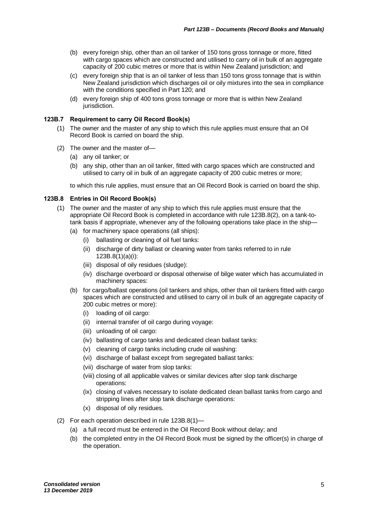- (b) every foreign ship, other than an oil tanker of 150 tons gross tonnage or more, fitted with cargo spaces which are constructed and utilised to carry oil in bulk of an aggregate capacity of 200 cubic metres or more that is within New Zealand jurisdiction; and
- (c) every foreign ship that is an oil tanker of less than 150 tons gross tonnage that is within New Zealand jurisdiction which discharges oil or oily mixtures into the sea in compliance with the conditions specified in Part 120; and
- (d) every foreign ship of 400 tons gross tonnage or more that is within New Zealand jurisdiction.

#### **123B.7 Requirement to carry Oil Record Book(s)**

- (1) The owner and the master of any ship to which this rule applies must ensure that an Oil Record Book is carried on board the ship.
- (2) The owner and the master of—
	- (a) any oil tanker; or
	- (b) any ship, other than an oil tanker, fitted with cargo spaces which are constructed and utilised to carry oil in bulk of an aggregate capacity of 200 cubic metres or more;

to which this rule applies, must ensure that an Oil Record Book is carried on board the ship.

#### **123B.8 Entries in Oil Record Book(s)**

- (1) The owner and the master of any ship to which this rule applies must ensure that the appropriate Oil Record Book is completed in accordance with rule 123B.8(2), on a tank-totank basis if appropriate, whenever any of the following operations take place in the ship—
	- (a) for machinery space operations (all ships):
		- (i) ballasting or cleaning of oil fuel tanks:
		- (ii) discharge of dirty ballast or cleaning water from tanks referred to in rule 123B.8(1)(a)(i):
		- (iii) disposal of oily residues (sludge):
		- (iv) discharge overboard or disposal otherwise of bilge water which has accumulated in machinery spaces:
	- (b) for cargo/ballast operations (oil tankers and ships, other than oil tankers fitted with cargo spaces which are constructed and utilised to carry oil in bulk of an aggregate capacity of 200 cubic metres or more):
		- (i) loading of oil cargo:
		- (ii) internal transfer of oil cargo during voyage:
		- (iii) unloading of oil cargo:
		- (iv) ballasting of cargo tanks and dedicated clean ballast tanks:
		- (v) cleaning of cargo tanks including crude oil washing:
		- (vi) discharge of ballast except from segregated ballast tanks:
		- (vii) discharge of water from slop tanks:
		- (viii) closing of all applicable valves or similar devices after slop tank discharge operations:
		- (ix) closing of valves necessary to isolate dedicated clean ballast tanks from cargo and stripping lines after slop tank discharge operations:
		- (x) disposal of oily residues.
- (2) For each operation described in rule 123B.8(1)—
	- (a) a full record must be entered in the Oil Record Book without delay; and
	- (b) the completed entry in the Oil Record Book must be signed by the officer(s) in charge of the operation.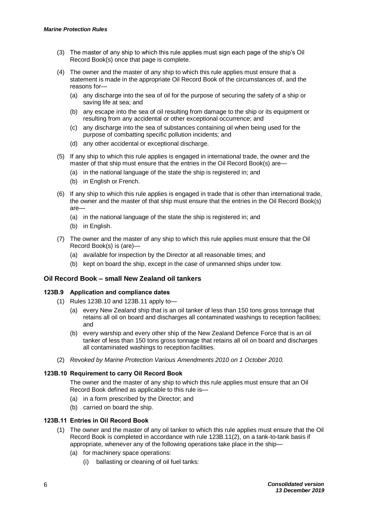- (3) The master of any ship to which this rule applies must sign each page of the ship's Oil Record Book(s) once that page is complete.
- (4) The owner and the master of any ship to which this rule applies must ensure that a statement is made in the appropriate Oil Record Book of the circumstances of, and the reasons for—
	- (a) any discharge into the sea of oil for the purpose of securing the safety of a ship or saving life at sea; and
	- (b) any escape into the sea of oil resulting from damage to the ship or its equipment or resulting from any accidental or other exceptional occurrence; and
	- (c) any discharge into the sea of substances containing oil when being used for the purpose of combatting specific pollution incidents; and
	- (d) any other accidental or exceptional discharge.
- (5) If any ship to which this rule applies is engaged in international trade, the owner and the master of that ship must ensure that the entries in the Oil Record Book(s) are—
	- (a) in the national language of the state the ship is registered in; and
	- (b) in English or French.
- (6) If any ship to which this rule applies is engaged in trade that is other than international trade, the owner and the master of that ship must ensure that the entries in the Oil Record Book(s) are—
	- (a) in the national language of the state the ship is registered in; and
	- (b) in English.
- (7) The owner and the master of any ship to which this rule applies must ensure that the Oil Record Book(s) is (are)—
	- (a) available for inspection by the Director at all reasonable times; and
	- (b) kept on board the ship, except in the case of unmanned ships under tow.

#### **Oil Record Book – small New Zealand oil tankers**

#### **123B.9 Application and compliance dates**

- (1) Rules 123B.10 and 123B.11 apply to—
	- (a) every New Zealand ship that is an oil tanker of less than 150 tons gross tonnage that retains all oil on board and discharges all contaminated washings to reception facilities; and
	- (b) every warship and every other ship of the New Zealand Defence Force that is an oil tanker of less than 150 tons gross tonnage that retains all oil on board and discharges all contaminated washings to reception facilities.
- (2) *Revoked by Marine Protection Various Amendments 2010 on 1 October 2010.*

#### **123B.10 Requirement to carry Oil Record Book**

The owner and the master of any ship to which this rule applies must ensure that an Oil Record Book defined as applicable to this rule is—

- (a) in a form prescribed by the Director; and
- (b) carried on board the ship.

#### **123B.11 Entries in Oil Record Book**

- (1) The owner and the master of any oil tanker to which this rule applies must ensure that the Oil Record Book is completed in accordance with rule 123B.11(2), on a tank-to-tank basis if appropriate, whenever any of the following operations take place in the ship—
	- (a) for machinery space operations:
		- (i) ballasting or cleaning of oil fuel tanks: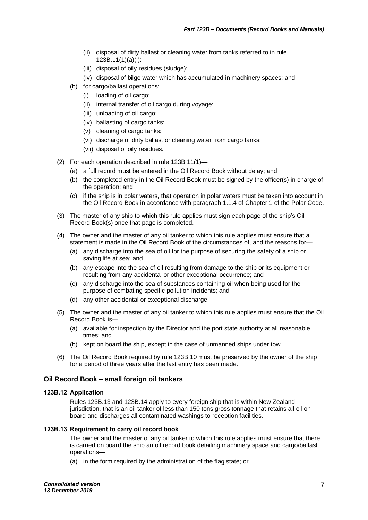- (ii) disposal of dirty ballast or cleaning water from tanks referred to in rule 123B.11(1)(a)(i):
- (iii) disposal of oily residues (sludge):
- (iv) disposal of bilge water which has accumulated in machinery spaces; and
- (b) for cargo/ballast operations:
	- (i) loading of oil cargo:
	- (ii) internal transfer of oil cargo during voyage:
	- (iii) unloading of oil cargo:
	- (iv) ballasting of cargo tanks:
	- (v) cleaning of cargo tanks:
	- (vi) discharge of dirty ballast or cleaning water from cargo tanks:
	- (vii) disposal of oily residues.
- (2) For each operation described in rule 123B.11(1)—
	- (a) a full record must be entered in the Oil Record Book without delay; and
	- (b) the completed entry in the Oil Record Book must be signed by the officer(s) in charge of the operation; and
	- (c) if the ship is in polar waters, that operation in polar waters must be taken into account in the Oil Record Book in accordance with paragraph 1.1.4 of Chapter 1 of the Polar Code.
- (3) The master of any ship to which this rule applies must sign each page of the ship's Oil Record Book(s) once that page is completed.
- (4) The owner and the master of any oil tanker to which this rule applies must ensure that a statement is made in the Oil Record Book of the circumstances of, and the reasons for—
	- (a) any discharge into the sea of oil for the purpose of securing the safety of a ship or saving life at sea; and
	- (b) any escape into the sea of oil resulting from damage to the ship or its equipment or resulting from any accidental or other exceptional occurrence; and
	- (c) any discharge into the sea of substances containing oil when being used for the purpose of combating specific pollution incidents; and
	- (d) any other accidental or exceptional discharge.
- (5) The owner and the master of any oil tanker to which this rule applies must ensure that the Oil Record Book is—
	- (a) available for inspection by the Director and the port state authority at all reasonable times; and
	- (b) kept on board the ship, except in the case of unmanned ships under tow.
- (6) The Oil Record Book required by rule 123B.10 must be preserved by the owner of the ship for a period of three years after the last entry has been made.

#### **Oil Record Book – small foreign oil tankers**

#### **123B.12 Application**

Rules 123B.13 and 123B.14 apply to every foreign ship that is within New Zealand jurisdiction, that is an oil tanker of less than 150 tons gross tonnage that retains all oil on board and discharges all contaminated washings to reception facilities.

#### **123B.13 Requirement to carry oil record book**

The owner and the master of any oil tanker to which this rule applies must ensure that there is carried on board the ship an oil record book detailing machinery space and cargo/ballast operations—

(a) in the form required by the administration of the flag state; or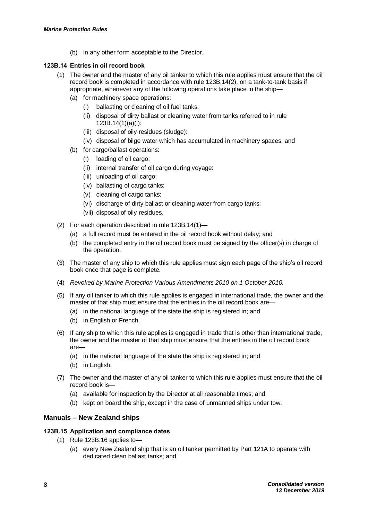(b) in any other form acceptable to the Director.

#### **123B.14 Entries in oil record book**

- (1) The owner and the master of any oil tanker to which this rule applies must ensure that the oil record book is completed in accordance with rule 123B.14(2), on a tank-to-tank basis if appropriate, whenever any of the following operations take place in the ship—
	- (a) for machinery space operations:
		- (i) ballasting or cleaning of oil fuel tanks:
		- (ii) disposal of dirty ballast or cleaning water from tanks referred to in rule 123B.14(1)(a)(i):
		- (iii) disposal of oily residues (sludge):
		- (iv) disposal of bilge water which has accumulated in machinery spaces; and
	- (b) for cargo/ballast operations:
		- (i) loading of oil cargo:
		- (ii) internal transfer of oil cargo during voyage:
		- (iii) unloading of oil cargo:
		- (iv) ballasting of cargo tanks:
		- (v) cleaning of cargo tanks:
		- (vi) discharge of dirty ballast or cleaning water from cargo tanks:
		- (vii) disposal of oily residues.
- (2) For each operation described in rule 123B.14(1)—
	- (a) a full record must be entered in the oil record book without delay; and
	- (b) the completed entry in the oil record book must be signed by the officer(s) in charge of the operation.
- (3) The master of any ship to which this rule applies must sign each page of the ship's oil record book once that page is complete.
- (4) *Revoked by Marine Protection Various Amendments 2010 on 1 October 2010.*
- (5) If any oil tanker to which this rule applies is engaged in international trade, the owner and the master of that ship must ensure that the entries in the oil record book are—
	- (a) in the national language of the state the ship is registered in; and
	- (b) in English or French.
- (6) If any ship to which this rule applies is engaged in trade that is other than international trade, the owner and the master of that ship must ensure that the entries in the oil record book are—
	- (a) in the national language of the state the ship is registered in; and
	- (b) in English.
- (7) The owner and the master of any oil tanker to which this rule applies must ensure that the oil record book is—
	- (a) available for inspection by the Director at all reasonable times; and
	- (b) kept on board the ship, except in the case of unmanned ships under tow.

#### **Manuals – New Zealand ships**

#### **123B.15 Application and compliance dates**

- (1) Rule 123B.16 applies to—
	- (a) every New Zealand ship that is an oil tanker permitted by Part 121A to operate with dedicated clean ballast tanks; and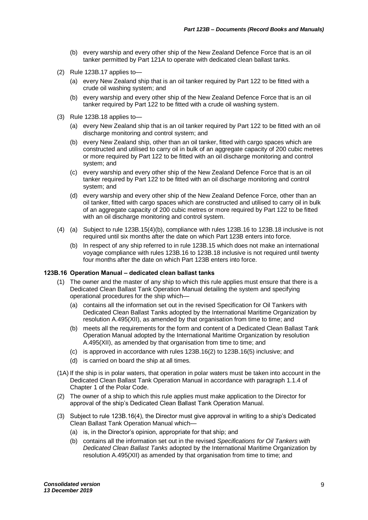- (b) every warship and every other ship of the New Zealand Defence Force that is an oil tanker permitted by Part 121A to operate with dedicated clean ballast tanks.
- (2) Rule 123B.17 applies to—
	- (a) every New Zealand ship that is an oil tanker required by Part 122 to be fitted with a crude oil washing system; and
	- (b) every warship and every other ship of the New Zealand Defence Force that is an oil tanker required by Part 122 to be fitted with a crude oil washing system.
- (3) Rule 123B.18 applies to—
	- (a) every New Zealand ship that is an oil tanker required by Part 122 to be fitted with an oil discharge monitoring and control system; and
	- (b) every New Zealand ship, other than an oil tanker, fitted with cargo spaces which are constructed and utilised to carry oil in bulk of an aggregate capacity of 200 cubic metres or more required by Part 122 to be fitted with an oil discharge monitoring and control system; and
	- (c) every warship and every other ship of the New Zealand Defence Force that is an oil tanker required by Part 122 to be fitted with an oil discharge monitoring and control system; and
	- (d) every warship and every other ship of the New Zealand Defence Force, other than an oil tanker, fitted with cargo spaces which are constructed and utilised to carry oil in bulk of an aggregate capacity of 200 cubic metres or more required by Part 122 to be fitted with an oil discharge monitoring and control system.
- (4) (a) Subject to rule 123B.15(4)(b), compliance with rules 123B.16 to 123B.18 inclusive is not required until six months after the date on which Part 123B enters into force.
	- (b) In respect of any ship referred to in rule 123B.15 which does not make an international voyage compliance with rules 123B.16 to 123B.18 inclusive is not required until twenty four months after the date on which Part 123B enters into force.

#### **123B.16 Operation Manual – dedicated clean ballast tanks**

- (1) The owner and the master of any ship to which this rule applies must ensure that there is a Dedicated Clean Ballast Tank Operation Manual detailing the system and specifying operational procedures for the ship which—
	- (a) contains all the information set out in the revised Specification for Oil Tankers with Dedicated Clean Ballast Tanks adopted by the International Maritime Organization by resolution A.495(XII), as amended by that organisation from time to time; and
	- (b) meets all the requirements for the form and content of a Dedicated Clean Ballast Tank Operation Manual adopted by the International Maritime Organization by resolution A.495(XII), as amended by that organisation from time to time; and
	- (c) is approved in accordance with rules 123B.16(2) to 123B.16(5) inclusive; and
	- (d) is carried on board the ship at all times.
- (1A) If the ship is in polar waters, that operation in polar waters must be taken into account in the Dedicated Clean Ballast Tank Operation Manual in accordance with paragraph 1.1.4 of Chapter 1 of the Polar Code.
- (2) The owner of a ship to which this rule applies must make application to the Director for approval of the ship's Dedicated Clean Ballast Tank Operation Manual.
- (3) Subject to rule 123B.16(4), the Director must give approval in writing to a ship's Dedicated Clean Ballast Tank Operation Manual which—
	- (a) is, in the Director's opinion, appropriate for that ship; and
	- (b) contains all the information set out in the revised *Specifications for Oil Tankers with Dedicated Clean Ballast Tanks* adopted by the International Maritime Organization by resolution A.495(XII) as amended by that organisation from time to time; and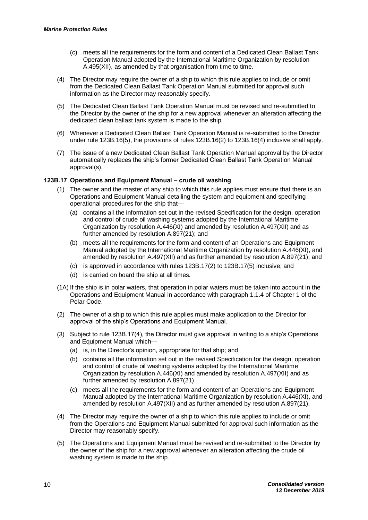- (c) meets all the requirements for the form and content of a Dedicated Clean Ballast Tank Operation Manual adopted by the International Maritime Organization by resolution A.495(XII), as amended by that organisation from time to time.
- (4) The Director may require the owner of a ship to which this rule applies to include or omit from the Dedicated Clean Ballast Tank Operation Manual submitted for approval such information as the Director may reasonably specify.
- (5) The Dedicated Clean Ballast Tank Operation Manual must be revised and re-submitted to the Director by the owner of the ship for a new approval whenever an alteration affecting the dedicated clean ballast tank system is made to the ship.
- (6) Whenever a Dedicated Clean Ballast Tank Operation Manual is re-submitted to the Director under rule 123B.16(5), the provisions of rules 123B.16(2) to 123B.16(4) inclusive shall apply.
- (7) The issue of a new Dedicated Clean Ballast Tank Operation Manual approval by the Director automatically replaces the ship's former Dedicated Clean Ballast Tank Operation Manual approval(s).

#### **123B.17 Operations and Equipment Manual – crude oil washing**

- (1) The owner and the master of any ship to which this rule applies must ensure that there is an Operations and Equipment Manual detailing the system and equipment and specifying operational procedures for the ship that—
	- (a) contains all the information set out in the revised Specification for the design, operation and control of crude oil washing systems adopted by the International Maritime Organization by resolution A.446(XI) and amended by resolution A.497(XII) and as further amended by resolution A.897(21); and
	- (b) meets all the requirements for the form and content of an Operations and Equipment Manual adopted by the International Maritime Organization by resolution A.446(XI), and amended by resolution A.497(XII) and as further amended by resolution A.897(21); and
	- (c) is approved in accordance with rules 123B.17(2) to 123B.17(5) inclusive; and
	- (d) is carried on board the ship at all times.
- (1A) If the ship is in polar waters, that operation in polar waters must be taken into account in the Operations and Equipment Manual in accordance with paragraph 1.1.4 of Chapter 1 of the Polar Code.
- (2) The owner of a ship to which this rule applies must make application to the Director for approval of the ship's Operations and Equipment Manual.
- (3) Subject to rule 123B.17(4), the Director must give approval in writing to a ship's Operations and Equipment Manual which—
	- (a) is, in the Director's opinion, appropriate for that ship; and
	- (b) contains all the information set out in the revised Specification for the design, operation and control of crude oil washing systems adopted by the International Maritime Organization by resolution A.446(XI) and amended by resolution A.497(XII) and as further amended by resolution A.897(21).
	- (c) meets all the requirements for the form and content of an Operations and Equipment Manual adopted by the International Maritime Organization by resolution A.446(XI), and amended by resolution A.497(XII) and as further amended by resolution A.897(21).
- (4) The Director may require the owner of a ship to which this rule applies to include or omit from the Operations and Equipment Manual submitted for approval such information as the Director may reasonably specify.
- (5) The Operations and Equipment Manual must be revised and re-submitted to the Director by the owner of the ship for a new approval whenever an alteration affecting the crude oil washing system is made to the ship.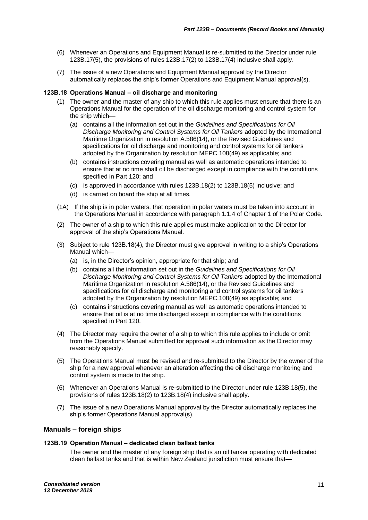- (6) Whenever an Operations and Equipment Manual is re-submitted to the Director under rule 123B.17(5), the provisions of rules 123B.17(2) to 123B.17(4) inclusive shall apply.
- (7) The issue of a new Operations and Equipment Manual approval by the Director automatically replaces the ship's former Operations and Equipment Manual approval(s).

#### **123B.18 Operations Manual – oil discharge and monitoring**

- (1) The owner and the master of any ship to which this rule applies must ensure that there is an Operations Manual for the operation of the oil discharge monitoring and control system for the ship which—
	- (a) contains all the information set out in the *Guidelines and Specifications for Oil Discharge Monitoring and Control Systems for Oil Tankers* adopted by the International Maritime Organization in resolution A.586(14), or the Revised Guidelines and specifications for oil discharge and monitoring and control systems for oil tankers adopted by the Organization by resolution MEPC.108(49) as applicable; and
	- (b) contains instructions covering manual as well as automatic operations intended to ensure that at no time shall oil be discharged except in compliance with the conditions specified in Part 120; and
	- (c) is approved in accordance with rules 123B.18(2) to 123B.18(5) inclusive; and
	- (d) is carried on board the ship at all times.
- (1A) If the ship is in polar waters, that operation in polar waters must be taken into account in the Operations Manual in accordance with paragraph 1.1.4 of Chapter 1 of the Polar Code.
- (2) The owner of a ship to which this rule applies must make application to the Director for approval of the ship's Operations Manual.
- (3) Subject to rule 123B.18(4), the Director must give approval in writing to a ship's Operations Manual which—
	- (a) is, in the Director's opinion, appropriate for that ship; and
	- (b) contains all the information set out in the *Guidelines and Specifications for Oil Discharge Monitoring and Control Systems for Oil Tankers* adopted by the International Maritime Organization in resolution A.586(14), or the Revised Guidelines and specifications for oil discharge and monitoring and control systems for oil tankers adopted by the Organization by resolution MEPC.108(49) as applicable; and
	- (c) contains instructions covering manual as well as automatic operations intended to ensure that oil is at no time discharged except in compliance with the conditions specified in Part 120.
- (4) The Director may require the owner of a ship to which this rule applies to include or omit from the Operations Manual submitted for approval such information as the Director may reasonably specify.
- (5) The Operations Manual must be revised and re-submitted to the Director by the owner of the ship for a new approval whenever an alteration affecting the oil discharge monitoring and control system is made to the ship.
- (6) Whenever an Operations Manual is re-submitted to the Director under rule 123B.18(5), the provisions of rules 123B.18(2) to 123B.18(4) inclusive shall apply.
- (7) The issue of a new Operations Manual approval by the Director automatically replaces the ship's former Operations Manual approval(s).

#### **Manuals – foreign ships**

#### **123B.19 Operation Manual – dedicated clean ballast tanks**

The owner and the master of any foreign ship that is an oil tanker operating with dedicated clean ballast tanks and that is within New Zealand jurisdiction must ensure that—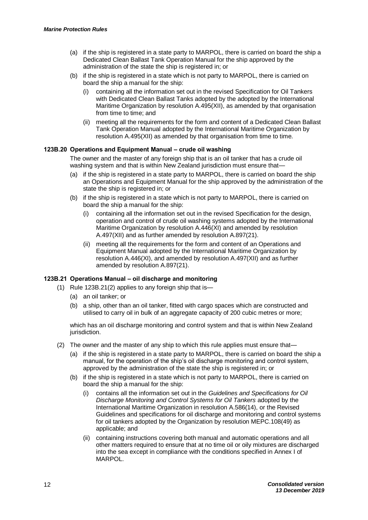- (a) if the ship is registered in a state party to MARPOL, there is carried on board the ship a Dedicated Clean Ballast Tank Operation Manual for the ship approved by the administration of the state the ship is registered in; or
- (b) if the ship is registered in a state which is not party to MARPOL, there is carried on board the ship a manual for the ship:
	- containing all the information set out in the revised Specification for Oil Tankers with Dedicated Clean Ballast Tanks adopted by the adopted by the International Maritime Organization by resolution A.495(XII), as amended by that organisation from time to time; and
	- (ii) meeting all the requirements for the form and content of a Dedicated Clean Ballast Tank Operation Manual adopted by the International Maritime Organization by resolution A.495(XII) as amended by that organisation from time to time.

#### **123B.20 Operations and Equipment Manual – crude oil washing**

The owner and the master of any foreign ship that is an oil tanker that has a crude oil washing system and that is within New Zealand jurisdiction must ensure that-

- (a) if the ship is registered in a state party to MARPOL, there is carried on board the ship an Operations and Equipment Manual for the ship approved by the administration of the state the ship is registered in; or
- (b) if the ship is registered in a state which is not party to MARPOL, there is carried on board the ship a manual for the ship:
	- (i) containing all the information set out in the revised Specification for the design, operation and control of crude oil washing systems adopted by the International Maritime Organization by resolution A.446(XI) and amended by resolution A.497(XII) and as further amended by resolution A.897(21).
	- (ii) meeting all the requirements for the form and content of an Operations and Equipment Manual adopted by the International Maritime Organization by resolution A.446(XI), and amended by resolution A.497(XII) and as further amended by resolution A.897(21).

#### **123B.21 Operations Manual – oil discharge and monitoring**

- (1) Rule 123B.21(2) applies to any foreign ship that is—
	- (a) an oil tanker; or
	- (b) a ship, other than an oil tanker, fitted with cargo spaces which are constructed and utilised to carry oil in bulk of an aggregate capacity of 200 cubic metres or more;

which has an oil discharge monitoring and control system and that is within New Zealand jurisdiction.

- (2) The owner and the master of any ship to which this rule applies must ensure that—
	- (a) if the ship is registered in a state party to MARPOL, there is carried on board the ship a manual, for the operation of the ship's oil discharge monitoring and control system, approved by the administration of the state the ship is registered in; or
	- (b) if the ship is registered in a state which is not party to MARPOL, there is carried on board the ship a manual for the ship:
		- (i) contains all the information set out in the *Guidelines and Specifications for Oil Discharge Monitoring and Control Systems for Oil Tankers* adopted by the International Maritime Organization in resolution A.586(14), or the Revised Guidelines and specifications for oil discharge and monitoring and control systems for oil tankers adopted by the Organization by resolution MEPC.108(49) as applicable; and
		- (ii) containing instructions covering both manual and automatic operations and all other matters required to ensure that at no time oil or oily mixtures are discharged into the sea except in compliance with the conditions specified in Annex I of MARPOL.